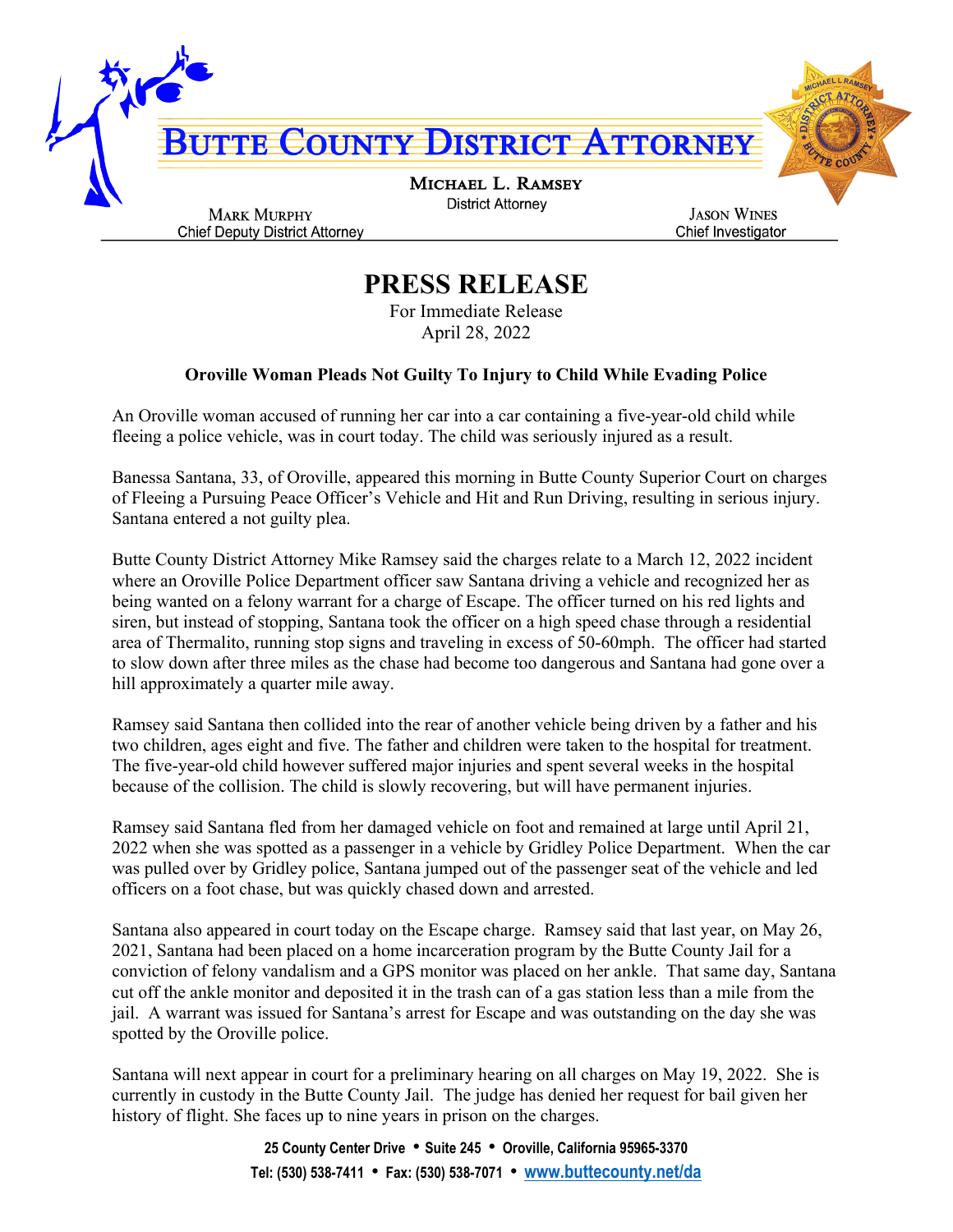

## **PRESS RELEASE**

For Immediate Release April 28, 2022

## **Oroville Woman Pleads Not Guilty To Injury to Child While Evading Police**

An Oroville woman accused of running her car into a car containing a five-year-old child while fleeing a police vehicle, was in court today. The child was seriously injured as a result.

Banessa Santana, 33, of Oroville, appeared this morning in Butte County Superior Court on charges of Fleeing a Pursuing Peace Officer's Vehicle and Hit and Run Driving, resulting in serious injury. Santana entered a not guilty plea.

Butte County District Attorney Mike Ramsey said the charges relate to a March 12, 2022 incident where an Oroville Police Department officer saw Santana driving a vehicle and recognized her as being wanted on a felony warrant for a charge of Escape. The officer turned on his red lights and siren, but instead of stopping, Santana took the officer on a high speed chase through a residential area of Thermalito, running stop signs and traveling in excess of 50-60mph. The officer had started to slow down after three miles as the chase had become too dangerous and Santana had gone over a hill approximately a quarter mile away.

Ramsey said Santana then collided into the rear of another vehicle being driven by a father and his two children, ages eight and five. The father and children were taken to the hospital for treatment. The five-year-old child however suffered major injuries and spent several weeks in the hospital because of the collision. The child is slowly recovering, but will have permanent injuries.

Ramsey said Santana fled from her damaged vehicle on foot and remained at large until April 21, 2022 when she was spotted as a passenger in a vehicle by Gridley Police Department. When the car was pulled over by Gridley police, Santana jumped out of the passenger seat of the vehicle and led officers on a foot chase, but was quickly chased down and arrested.

Santana also appeared in court today on the Escape charge. Ramsey said that last year, on May 26, 2021, Santana had been placed on a home incarceration program by the Butte County Jail for a conviction of felony vandalism and a GPS monitor was placed on her ankle. That same day, Santana cut off the ankle monitor and deposited it in the trash can of a gas station less than a mile from the jail. A warrant was issued for Santana's arrest for Escape and was outstanding on the day she was spotted by the Oroville police.

Santana will next appear in court for a preliminary hearing on all charges on May 19, 2022. She is currently in custody in the Butte County Jail. The judge has denied her request for bail given her history of flight. She faces up to nine years in prison on the charges.

> **25 County Center Drive** • **Suite 245** • **Oroville, California 95965-3370 Tel: (530) 538-7411** • **Fax: (530) 538-7071** • **[www.buttecounty.net/da](http://www.buttecounty.net/da)**